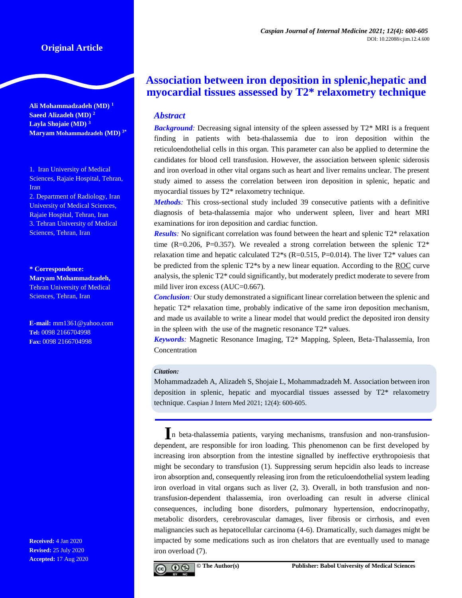## **Original Article**

**Ali Mohammadzadeh (MD) <sup>1</sup> Saeed Alizadeh (MD) <sup>2</sup> Layla Shojaie (MD) <sup>3</sup> Maryam Mohammadzadeh (MD) 3\***

1. Iran University of Medical Sciences, Rajaie Hospital, Tehran, Iran

2. Department of Radiology, Iran University of Medical Sciences, Rajaie Hospital, Tehran, Iran 3. Tehran University of Medical Sciences, Tehran, Iran

**\* Correspondence: Maryam Mohammadzadeh,** Tehran University of Medical Sciences, Tehran, Iran

**E-mail:** [mm1361@yahoo.com](mailto:mm1361@yahoo.com) **Tel:** 0098 2166704998 **Fax:** 0098 2166704998

**Received:** 4 Jan 2020 **Revised:** 25 July 2020 **Accepted:** 17 Aug 2020

# **Association between iron deposition in splenic,hepatic and myocardial tissues assessed by T2\* relaxometry technique**

### *Abstract*

**Background**: Decreasing signal intensity of the spleen assessed by T2\* MRI is a frequent finding in patients with beta-thalassemia due to iron deposition within the reticuloendothelial cells in this organ. This parameter can also be applied to determine the candidates for blood cell transfusion. However, the association between splenic siderosis and iron overload in other vital organs such as heart and liver remains unclear. The present study aimed to assess the correlation between iron deposition in splenic, hepatic and myocardial tissues by T2\* relaxometry technique.

*Methods:* This cross-sectional study included 39 consecutive patients with a definitive diagnosis of beta-thalassemia major who underwent spleen, liver and heart MRI examinations for iron deposition and cardiac function.

*Results:* No significant correlation was found between the heart and splenic T2\* relaxation time (R=0.206, P=0.357). We revealed a strong correlation between the splenic  $T2^*$ relaxation time and hepatic calculated  $T2^*s$  (R=0.515, P=0.014). The liver  $T2^*$  values can be predicted from the splenic T2\*s by a new linear equation. According to the ROC curve analysis, the splenic T2\* could significantly, but moderately predict moderate to severe from mild liver iron excess (AUC=0.667).

*Conclusion*: Our study demonstrated a significant linear correlation between the splenic and hepatic T2\* relaxation time, probably indicative of the same iron deposition mechanism, and made us available to write a linear model that would predict the deposited iron density in the spleen with the use of the magnetic resonance  $T2^*$  values.

*Keywords:* Magnetic Resonance Imaging, T2\* Mapping, Spleen, Beta-Thalassemia, Iron Concentration

#### *Citation:*

Mohammadzadeh A, Alizadeh S, Shojaie L, Mohammadzadeh M. Association between iron deposition in splenic, hepatic and myocardial tissues assessed by T2\* relaxometry technique. Caspian J Intern Med 2021; 12(4): 600-605.

**I**n beta-thalassemia patients, varying mechanisms, transfusion and non-transfusiondependent, are responsible for iron loading. This phenomenon can be first developed by increasing iron absorption from the intestine signalled by ineffective erythropoiesis that might be secondary to transfusion (1). Suppressing serum hepcidin also leads to increase iron absorption and, consequently releasing iron from the reticuloendothelial system leading iron overload in vital organs such as liver (2, 3). Overall, in both transfusion and nontransfusion-dependent thalassemia, iron overloading can result in adverse clinical consequences, including bone disorders, pulmonary hypertension, endocrinopathy, metabolic disorders, cerebrovascular damages, liver fibrosis or cirrhosis, and even malignancies such as hepatocellular carcinoma (4-6). Dramatically, such damages might be impacted by some medications such as iron chelators that are eventually used to manage iron overload (7).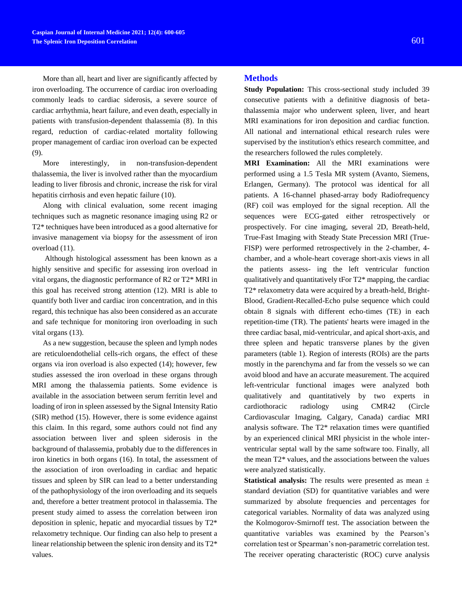More than all, heart and liver are significantly affected by iron overloading. The occurrence of cardiac iron overloading commonly leads to cardiac siderosis, a severe source of cardiac arrhythmia, heart failure, and even death, especially in patients with transfusion-dependent thalassemia (8). In this regard, reduction of cardiac-related mortality following proper management of cardiac iron overload can be expected (9).

More interestingly, in non-transfusion-dependent thalassemia, the liver is involved rather than the myocardium leading to liver fibrosis and chronic, increase the risk for viral hepatitis cirrhosis and even hepatic failure (10).

Along with clinical evaluation, some recent imaging techniques such as magnetic resonance imaging using R2 or T2\* techniques have been introduced as a good alternative for invasive management via biopsy for the assessment of iron overload (11).

Although histological assessment has been known as a highly sensitive and specific for assessing iron overload in vital organs, the diagnostic performance of R2 or T2\* MRI in this goal has received strong attention (12). MRI is able to quantify both liver and cardiac iron concentration, and in this regard, this technique has also been considered as an accurate and safe technique for monitoring iron overloading in such vital organs (13).

As a new suggestion, because the spleen and lymph nodes are reticuloendothelial cells-rich organs, the effect of these organs via iron overload is also expected (14); however, few studies assessed the iron overload in these organs through MRI among the thalassemia patients. Some evidence is available in the association between serum ferritin level and loading of iron in spleen assessed by the Signal Intensity Ratio (SIR) method (15). However, there is some evidence against this claim. In this regard, some authors could not find any association between liver and spleen siderosis in the background of thalassemia, probably due to the differences in iron kinetics in both organs (16). In total, the assessment of the association of iron overloading in cardiac and hepatic tissues and spleen by SIR can lead to a better understanding of the pathophysiology of the iron overloading and its sequels and, therefore a better treatment protocol in thalassemia. The present study aimed to assess the correlation between iron deposition in splenic, hepatic and myocardial tissues by T2\* relaxometry technique. Our finding can also help to present a linear relationship between the splenic iron density and its T2\* values.

# **Methods**

**Study Population:** This cross-sectional study included 39 consecutive patients with a definitive diagnosis of betathalassemia major who underwent spleen, liver, and heart MRI examinations for iron deposition and cardiac function. All national and international ethical research rules were supervised by the institution's ethics research committee, and the researchers followed the rules completely.

**MRI Examination:** All the MRI examinations were performed using a 1.5 Tesla MR system (Avanto, Siemens, Erlangen, Germany). The protocol was identical for all patients. A 16-channel phased-array body Radiofrequency (RF) coil was employed for the signal reception. All the sequences were ECG-gated either retrospectively or prospectively. For cine imaging, several 2D, Breath-held, True-Fast Imaging with Steady State Precession MRI (True-FISP) were performed retrospectively in the 2-chamber, 4 chamber, and a whole-heart coverage short-axis views in all the patients assess- ing the left ventricular function qualitatively and quantitatively tFor T2\* mapping, the cardiac T2\* relaxometry data were acquired by a breath-held, Bright-Blood, Gradient-Recalled-Echo pulse sequence which could obtain 8 signals with different echo-times (TE) in each repetition-time (TR). The patients' hearts were imaged in the three cardiac basal, mid-ventricular, and apical short-axis, and three spleen and hepatic transverse planes by the given parameters (table 1). Region of interests (ROIs) are the parts mostly in the parenchyma and far from the vessels so we can avoid blood and have an accurate measurement. The acquired left-ventricular functional images were analyzed both qualitatively and quantitatively by two experts in cardiothoracic radiology using CMR42 (Circle Cardiovascular Imaging, Calgary, Canada) cardiac MRI analysis software. The T2\* relaxation times were quantified by an experienced clinical MRI physicist in the whole interventricular septal wall by the same software too. Finally, all the mean T2\* values, and the associations between the values were analyzed statistically.

**Statistical analysis:** The results were presented as mean  $\pm$ standard deviation (SD) for quantitative variables and were summarized by absolute frequencies and percentages for categorical variables. Normality of data was analyzed using the Kolmogorov-Smirnoff test. The association between the quantitative variables was examined by the Pearson's correlation test or Spearman's non-parametric correlation test. The receiver operating characteristic (ROC) curve analysis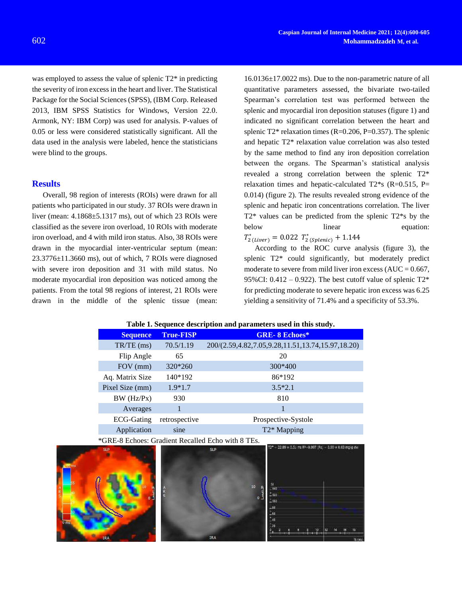was employed to assess the value of splenic  $T2^*$  in predicting the severity of iron excess in the heart and liver. The Statistical Package for the Social Sciences (SPSS), (IBM Corp. Released 2013, IBM SPSS Statistics for Windows, Version 22.0. Armonk, NY: IBM Corp) was used for analysis. P-values of 0.05 or less were considered statistically significant. All the data used in the analysis were labeled, hence the statisticians were blind to the groups.

### **Results**

Overall, 98 region of interests (ROIs) were drawn for all patients who participated in our study. 37 ROIs were drawn in liver (mean: 4.1868±5.1317 ms), out of which 23 ROIs were classified as the severe iron overload, 10 ROIs with moderate iron overload, and 4 with mild iron status. Also, 38 ROIs were drawn in the myocardial inter-ventricular septum (mean:  $23.3776\pm11.3660$  ms), out of which, 7 ROIs were diagnosed with severe iron deposition and 31 with mild status. No moderate myocardial iron deposition was noticed among the patients. From the total 98 regions of interest, 21 ROIs were drawn in the middle of the splenic tissue (mean:

16.0136±17.0022 ms). Due to the non-parametric nature of all quantitative parameters assessed, the bivariate two-tailed Spearman's correlation test was performed between the splenic and myocardial iron deposition statuses (figure 1) and indicated no significant correlation between the heart and splenic T2\* relaxation times (R=0.206, P=0.357). The splenic and hepatic T2\* relaxation value correlation was also tested by the same method to find any iron deposition correlation between the organs. The Spearman's statistical analysis revealed a strong correlation between the splenic T2\* relaxation times and hepatic-calculated  $T2*$ s (R=0.515, P= 0.014) (figure 2). The results revealed strong evidence of the splenic and hepatic iron concentrations correlation. The liver T2\* values can be predicted from the splenic T2\*s by the below linear equation:  $T_{2 \,(Liver)}^{*} = 0.022 T_{2 \,(Spline)}^{*} + 1.144$ 

According to the ROC curve analysis (figure 3), the splenic T2\* could significantly, but moderately predict moderate to severe from mild liver iron excess  $(AUC = 0.667,$ 95%CI:  $0.412 - 0.922$ ). The best cutoff value of splenic T2\* for predicting moderate to severe hepatic iron excess was 6.25 yielding a sensitivity of 71.4% and a specificity of 53.3%.

|  |  |  | Table 1. Sequence description and parameters used in this study. |  |
|--|--|--|------------------------------------------------------------------|--|
|--|--|--|------------------------------------------------------------------|--|

|  | <b>Sequence</b>   | <b>True-FISP</b> | <b>GRE-8 Echoes*</b>                              |
|--|-------------------|------------------|---------------------------------------------------|
|  | TR/TE (ms)        | 70.5/1.19        | 200/(2.59,4.82,7.05,9.28,11.51,13.74,15.97,18.20) |
|  | Flip Angle        | 65               | 20                                                |
|  | FOV (mm)          | 320*260          | $300*400$                                         |
|  | Aq. Matrix Size   | 140*192          | 86*192                                            |
|  | Pixel Size (mm)   | $1.9*1.7$        | $3.5*2.1$                                         |
|  | BW (Hz/Px)        | 930              | 810                                               |
|  | Averages          | 1                |                                                   |
|  | <b>ECG-Gating</b> | retrospective    | Prospective-Systole                               |
|  | Application       | sine             | T <sub>2</sub> * Mapping                          |
|  |                   |                  |                                                   |

\*GRE-8 Echoes: Gradient Recalled Echo with 8 TEs.

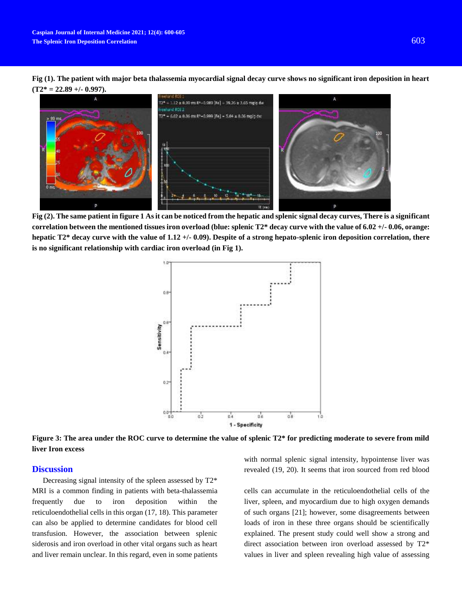**Fig (1). The patient with major beta thalassemia myocardial signal decay curve shows no significant iron deposition in heart (T2\* = 22.89 +/- 0.997).** 



**Fig (2). The same patient in figure 1 As it can be noticed from the hepatic and splenic signal decay curves, There is a significant correlation between the mentioned tissues iron overload (blue: splenic T2\* decay curve with the value of 6.02 +/- 0.06, orange: hepatic T2\* decay curve with the value of 1.12 +/- 0.09). Despite of a strong hepato-splenic iron deposition correlation, there is no significant relationship with cardiac iron overload (in Fig 1).**



**Figure 3: The area under the ROC curve to determine the value of splenic T2\* for predicting moderate to severe from mild liver Iron excess**

#### **Discussion**

Decreasing signal intensity of the spleen assessed by T2\* MRI is a common finding in patients with beta-thalassemia frequently due to iron deposition within the reticuloendothelial cells in this organ (17, 18). This parameter can also be applied to determine candidates for blood cell transfusion. However, the association between splenic siderosis and iron overload in other vital organs such as heart and liver remain unclear. In this regard, even in some patients with normal splenic signal intensity, hypointense liver was revealed (19, 20). It seems that iron sourced from red blood

cells can accumulate in the reticuloendothelial cells of the liver, spleen, and myocardium due to high oxygen demands of such organs [21]; however, some disagreements between loads of iron in these three organs should be scientifically explained. The present study could well show a strong and direct association between iron overload assessed by T2\* values in liver and spleen revealing high value of assessing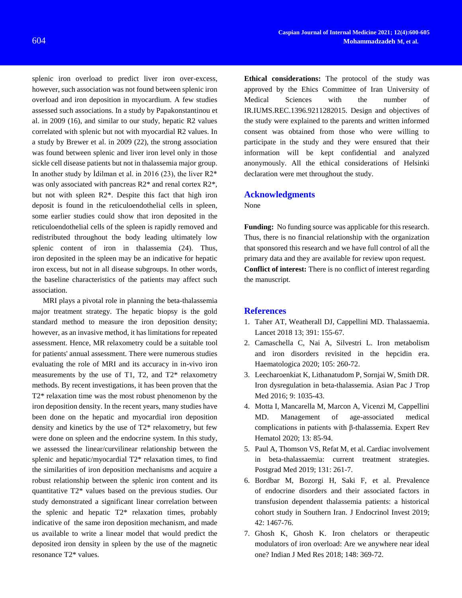splenic iron overload to predict liver iron over-excess, however, such association was not found between splenic iron overload and iron deposition in myocardium. A few studies assessed such associations. In a study by Papakonstantinou et al. in 2009 (16), and similar to our study, hepatic R2 values correlated with splenic but not with myocardial R2 values. In a study by Brewer et al. in 2009 (22), the strong association was found between splenic and liver iron level only in those sickle cell disease patients but not in thalassemia major group. In another study by Idilman et al. in 2016 (23), the liver  $R2^*$ was only associated with pancreas R2\* and renal cortex R2\*, but not with spleen R2\*. Despite this fact that high iron deposit is found in the reticuloendothelial cells in spleen, some earlier studies could show that iron deposited in the reticuloendothelial cells of the spleen is rapidly removed and redistributed throughout the body leading ultimately low splenic content of iron in thalassemia (24). Thus, iron deposited in the spleen may be an indicative for hepatic iron excess, but not in all disease subgroups. In other words, the baseline characteristics of the patients may affect such association.

MRI plays a pivotal role in planning the beta-thalassemia major treatment strategy. The hepatic biopsy is the gold standard method to measure the iron deposition density; however, as an invasive method, it has limitations for repeated assessment. Hence, MR relaxometry could be a suitable tool for patients' annual assessment. There were numerous studies evaluating the role of MRI and its accuracy in in-vivo iron measurements by the use of T1, T2, and T2\* relaxometry methods. By recent investigations, it has been proven that the T2\* relaxation time was the most robust phenomenon by the iron deposition density. In the recent years, many studies have been done on the hepatic and myocardial iron deposition density and kinetics by the use of T2\* relaxometry, but few were done on spleen and the endocrine system. In this study, we assessed the linear/curvilinear relationship between the splenic and hepatic/myocardial T2\* relaxation times, to find the similarities of iron deposition mechanisms and acquire a robust relationship between the splenic iron content and its quantitative T2\* values based on the previous studies. Our study demonstrated a significant linear correlation between the splenic and hepatic T2\* relaxation times, probably indicative of the same iron deposition mechanism, and made us available to write a linear model that would predict the deposited iron density in spleen by the use of the magnetic resonance T2\* values.

**Ethical considerations:** The protocol of the study was approved by the Ehics Committee of Iran University of Medical Sciences with the number of IR.IUMS.REC.1396.9211282015. Design and objectives of the study were explained to the parents and written informed consent was obtained from those who were willing to participate in the study and they were ensured that their information will be kept confidential and analyzed anonymously. All the ethical considerations of Helsinki declaration were met throughout the study.

### **Acknowledgments**

None

**Funding:** No funding source was applicable for this research. Thus, there is no financial relationship with the organization that sponsored this research and we have full control of all the primary data and they are available for review upon request. **Conflict of interest:** There is no conflict of interest regarding the manuscript.

### **References**

- 1. Taher AT, Weatherall DJ, Cappellini MD. Thalassaemia. [Lancet](https://www.ncbi.nlm.nih.gov/pubmed/28774421) 2018 13; 391: 155-67.
- 2. Camaschella C, Nai A, Silvestri L. Iron [metabolism](https://www.ncbi.nlm.nih.gov/pubmed/31949017)  and iron [disorders revisited in the](https://www.ncbi.nlm.nih.gov/pubmed/31949017) hepcidin era. Haematologica 2020; 105: 260-72.
- 3. Leecharoenkiat K, Lithanatudom P, Sornjai W, Smith DR. Iron dysregulation in [beta-thalassemia.](https://www.ncbi.nlm.nih.gov/pubmed/27890361) Asian Pac J Trop Med 2016; 9: 1035-43.
- 4. Motta I, Mancarella M, Marcon A, Vicenzi M, Cappellini MD. [Management of age-associated medical](https://www.ncbi.nlm.nih.gov/pubmed/31661637)  [complications in patients with β-thalassemia.](https://www.ncbi.nlm.nih.gov/pubmed/31661637) Expert Rev Hematol 2020; 13: 85-94.
- 5. Paul A, Thomson VS, Refat M, et al[. Cardiac involvement](https://www.ncbi.nlm.nih.gov/pubmed/31002266)  in [beta-thalassaemia: current treatment strategies.](https://www.ncbi.nlm.nih.gov/pubmed/31002266) Postgrad Med 2019; 131: 261-7.
- 6. Bordbar M, Bozorgi H, Saki F, et al. [Prevalence](https://www.ncbi.nlm.nih.gov/pubmed/31228105)  of endocrine [disorders and their associated factors in](https://www.ncbi.nlm.nih.gov/pubmed/31228105)  [transfusion dependent](https://www.ncbi.nlm.nih.gov/pubmed/31228105) thalassemia patients: a historical [cohort study in Southern Iran.](https://www.ncbi.nlm.nih.gov/pubmed/31228105) J Endocrinol Invest 2019; 42: 1467-76.
- 7. Ghosh K, Ghosh K. Iron chelators [or therapeutic](https://www.ncbi.nlm.nih.gov/pubmed/30665999)  modulators of iron [overload: Are we anywhere near ideal](https://www.ncbi.nlm.nih.gov/pubmed/30665999)  [one?](https://www.ncbi.nlm.nih.gov/pubmed/30665999) Indian J Med Res 2018; 148: 369-72.